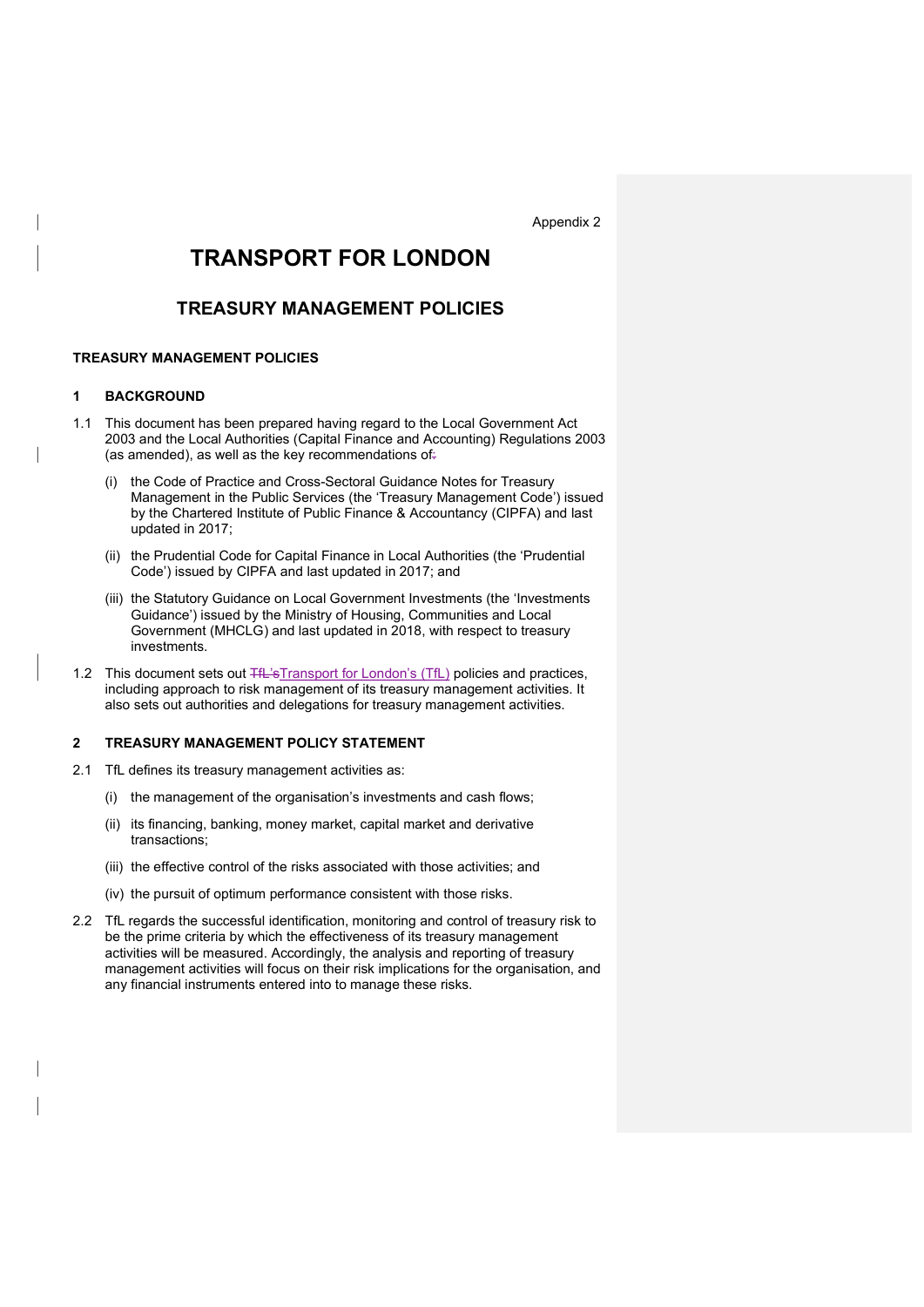Appendix 2

# TRANSPORT FOR LONDON

## TREASURY MANAGEMENT POLICIES

## TREASURY MANAGEMENT POLICIES

#### 1 BACKGROUND

- 1.1 This document has been prepared having regard to the Local Government Act 2003 and the Local Authorities (Capital Finance and Accounting) Regulations 2003 (as amended), as well as the key recommendations of:
	- (i) the Code of Practice and Cross-Sectoral Guidance Notes for Treasury Management in the Public Services (the 'Treasury Management Code') issued by the Chartered Institute of Public Finance & Accountancy (CIPFA) and last updated in 2017;
	- (ii) the Prudential Code for Capital Finance in Local Authorities (the 'Prudential Code') issued by CIPFA and last updated in 2017; and
	- (iii) the Statutory Guidance on Local Government Investments (the 'Investments Guidance') issued by the Ministry of Housing, Communities and Local Government (MHCLG) and last updated in 2018, with respect to treasury investments.
- 1.2 This document sets out TfL'sTransport for London's (TfL) policies and practices, including approach to risk management of its treasury management activities. It also sets out authorities and delegations for treasury management activities.

## 2 TREASURY MANAGEMENT POLICY STATEMENT

- 2.1 TfL defines its treasury management activities as:
	- (i) the management of the organisation's investments and cash flows;
	- (ii) its financing, banking, money market, capital market and derivative transactions;
	- (iii) the effective control of the risks associated with those activities; and
	- (iv) the pursuit of optimum performance consistent with those risks.
- 2.2 TfL regards the successful identification, monitoring and control of treasury risk to be the prime criteria by which the effectiveness of its treasury management activities will be measured. Accordingly, the analysis and reporting of treasury management activities will focus on their risk implications for the organisation, and any financial instruments entered into to manage these risks.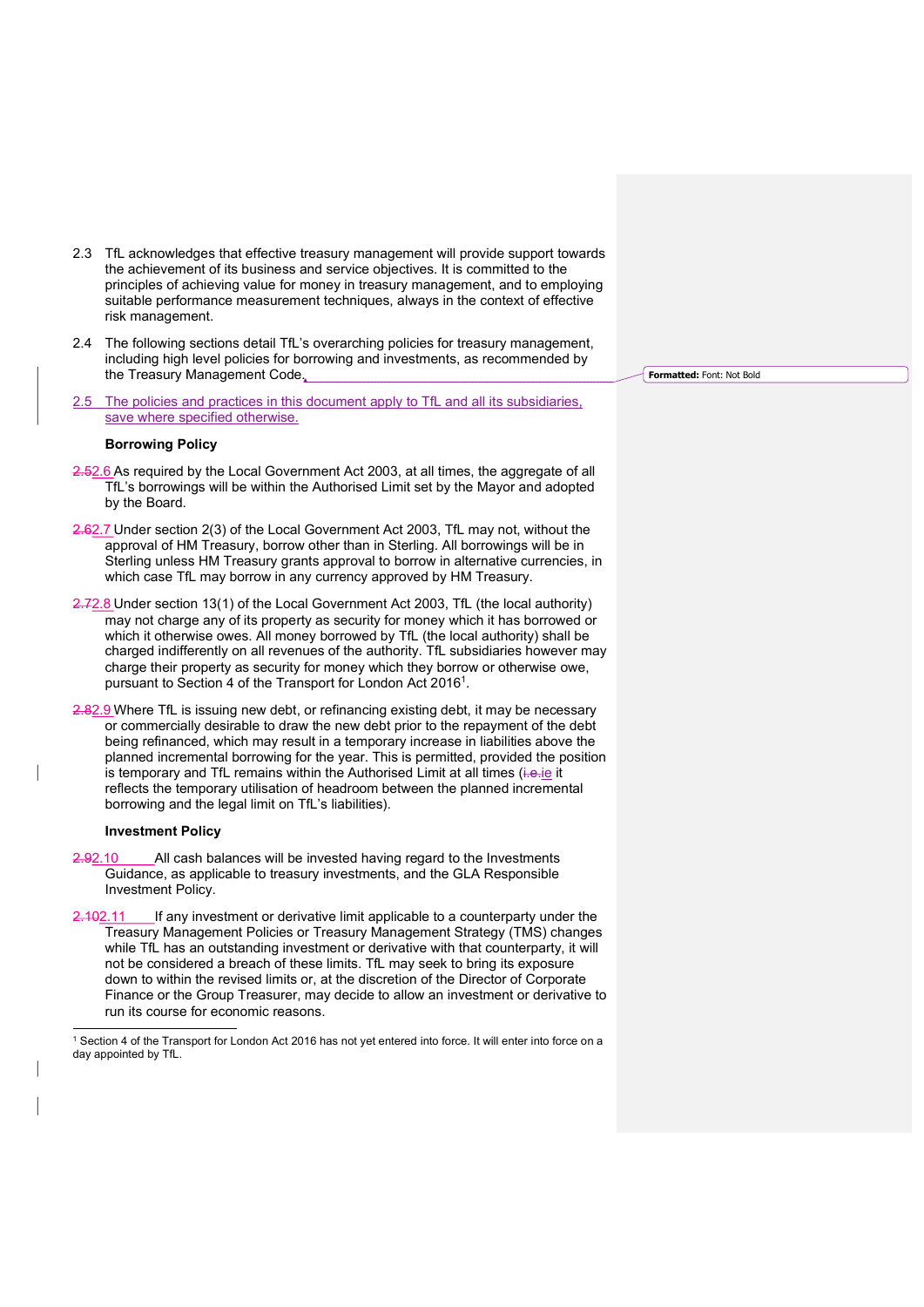- 2.3 TfL acknowledges that effective treasury management will provide support towards the achievement of its business and service objectives. It is committed to the principles of achieving value for money in treasury management, and to employing suitable performance measurement techniques, always in the context of effective risk management.
- 2.4 The following sections detail TfL's overarching policies for treasury management, including high level policies for borrowing and investments, as recommended by the Treasury Management Code.
- 2.5 The policies and practices in this document apply to TfL and all its subsidiaries. save where specified otherwise.

#### Borrowing Policy

- 2.52.6 As required by the Local Government Act 2003, at all times, the aggregate of all TfL's borrowings will be within the Authorised Limit set by the Mayor and adopted by the Board.
- 2.62.7 Under section 2(3) of the Local Government Act 2003, TfL may not, without the approval of HM Treasury, borrow other than in Sterling. All borrowings will be in Sterling unless HM Treasury grants approval to borrow in alternative currencies, in which case TfL may borrow in any currency approved by HM Treasury.
- 2.72.8 Under section 13(1) of the Local Government Act 2003, TfL (the local authority) may not charge any of its property as security for money which it has borrowed or which it otherwise owes. All money borrowed by TfL (the local authority) shall be charged indifferently on all revenues of the authority. TfL subsidiaries however may charge their property as security for money which they borrow or otherwise owe, pursuant to Section 4 of the Transport for London Act 2016<sup>1</sup>.
- 2.82.9 Where TfL is issuing new debt, or refinancing existing debt, it may be necessary or commercially desirable to draw the new debt prior to the repayment of the debt being refinanced, which may result in a temporary increase in liabilities above the planned incremental borrowing for the year. This is permitted, provided the position is temporary and TfL remains within the Authorised Limit at all times (i.e. je it reflects the temporary utilisation of headroom between the planned incremental borrowing and the legal limit on TfL's liabilities).

#### Investment Policy

- 2.92.10 All cash balances will be invested having regard to the Investments Guidance, as applicable to treasury investments, and the GLA Responsible Investment Policy.
- 2.102.11 If any investment or derivative limit applicable to a counterparty under the Treasury Management Policies or Treasury Management Strategy (TMS) changes while TfL has an outstanding investment or derivative with that counterparty, it will not be considered a breach of these limits. TfL may seek to bring its exposure down to within the revised limits or, at the discretion of the Director of Corporate Finance or the Group Treasurer, may decide to allow an investment or derivative to run its course for economic reasons.

1 Section 4 of the Transport for London Act 2016 has not yet entered into force. It will enter into force on a day appointed by TfL.

Formatted: Font: Not Bold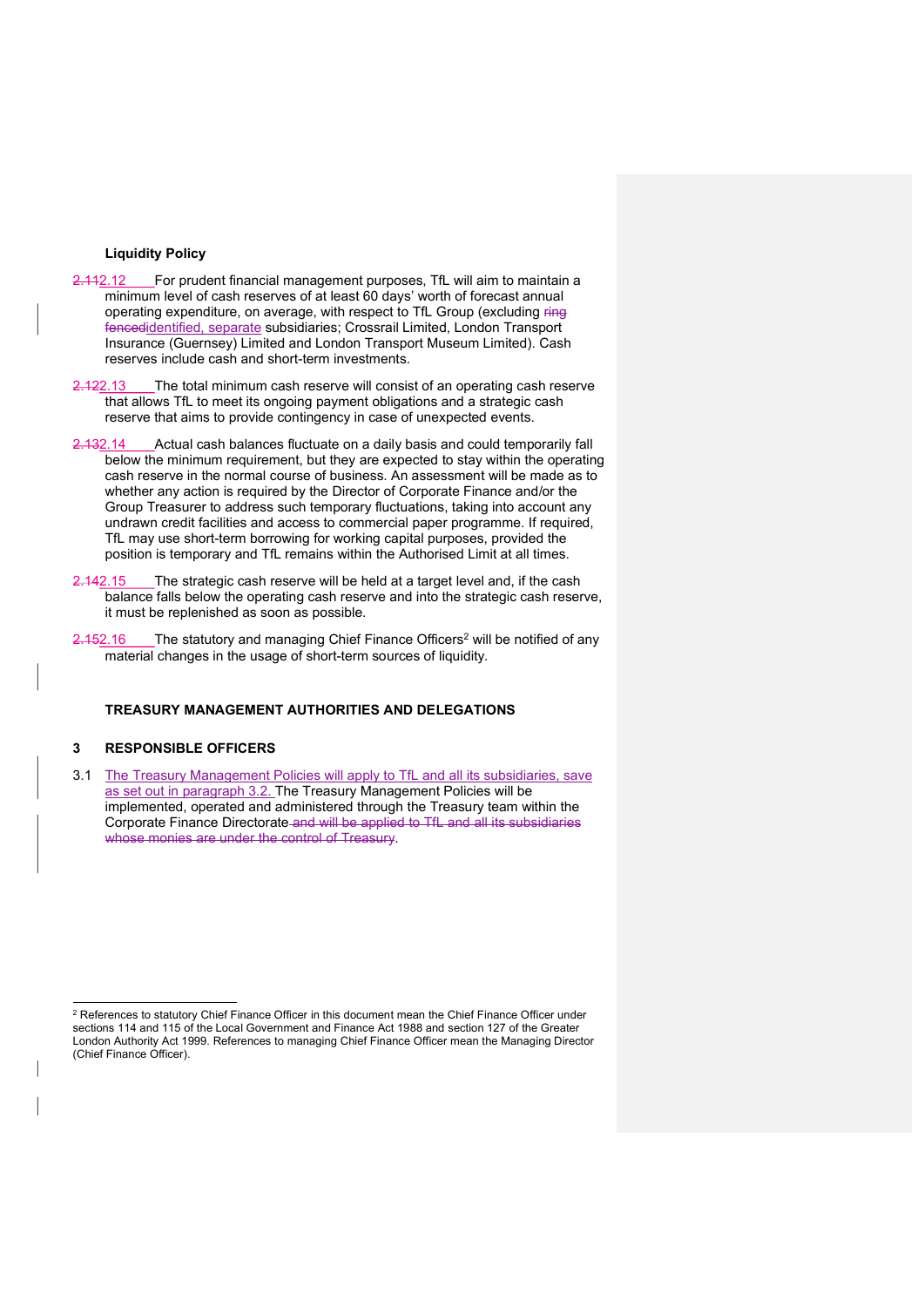#### Liquidity Policy

- 2.112.12 For prudent financial management purposes, TfL will aim to maintain a minimum level of cash reserves of at least 60 days' worth of forecast annual operating expenditure, on average, with respect to TfL Group (excluding ring fencedidentified, separate subsidiaries; Crossrail Limited, London Transport Insurance (Guernsey) Limited and London Transport Museum Limited). Cash reserves include cash and short-term investments.
- 2.122.13 The total minimum cash reserve will consist of an operating cash reserve that allows TfL to meet its ongoing payment obligations and a strategic cash reserve that aims to provide contingency in case of unexpected events.
- 2.132.14 Actual cash balances fluctuate on a daily basis and could temporarily fall below the minimum requirement, but they are expected to stay within the operating cash reserve in the normal course of business. An assessment will be made as to whether any action is required by the Director of Corporate Finance and/or the Group Treasurer to address such temporary fluctuations, taking into account any undrawn credit facilities and access to commercial paper programme. If required, TfL may use short-term borrowing for working capital purposes, provided the position is temporary and TfL remains within the Authorised Limit at all times.
- 2.142.15 The strategic cash reserve will be held at a target level and, if the cash balance falls below the operating cash reserve and into the strategic cash reserve, it must be replenished as soon as possible.
- $2.152.16$  The statutory and managing Chief Finance Officers<sup>2</sup> will be notified of any material changes in the usage of short-term sources of liquidity.

## TREASURY MANAGEMENT AUTHORITIES AND DELEGATIONS

## 3 RESPONSIBLE OFFICERS

3.1 The Treasury Management Policies will apply to TfL and all its subsidiaries, save as set out in paragraph 3.2. The Treasury Management Policies will be implemented, operated and administered through the Treasury team within the Corporate Finance Directorate and will be applied to TfL and all its subsidiaries whose monies are under the control of Treasury.

 $\rm ^2$  References to statutory Chief Finance Officer in this document mean the Chief Finance Officer under sections 114 and 115 of the Local Government and Finance Act 1988 and section 127 of the Greater London Authority Act 1999. References to managing Chief Finance Officer mean the Managing Director (Chief Finance Officer).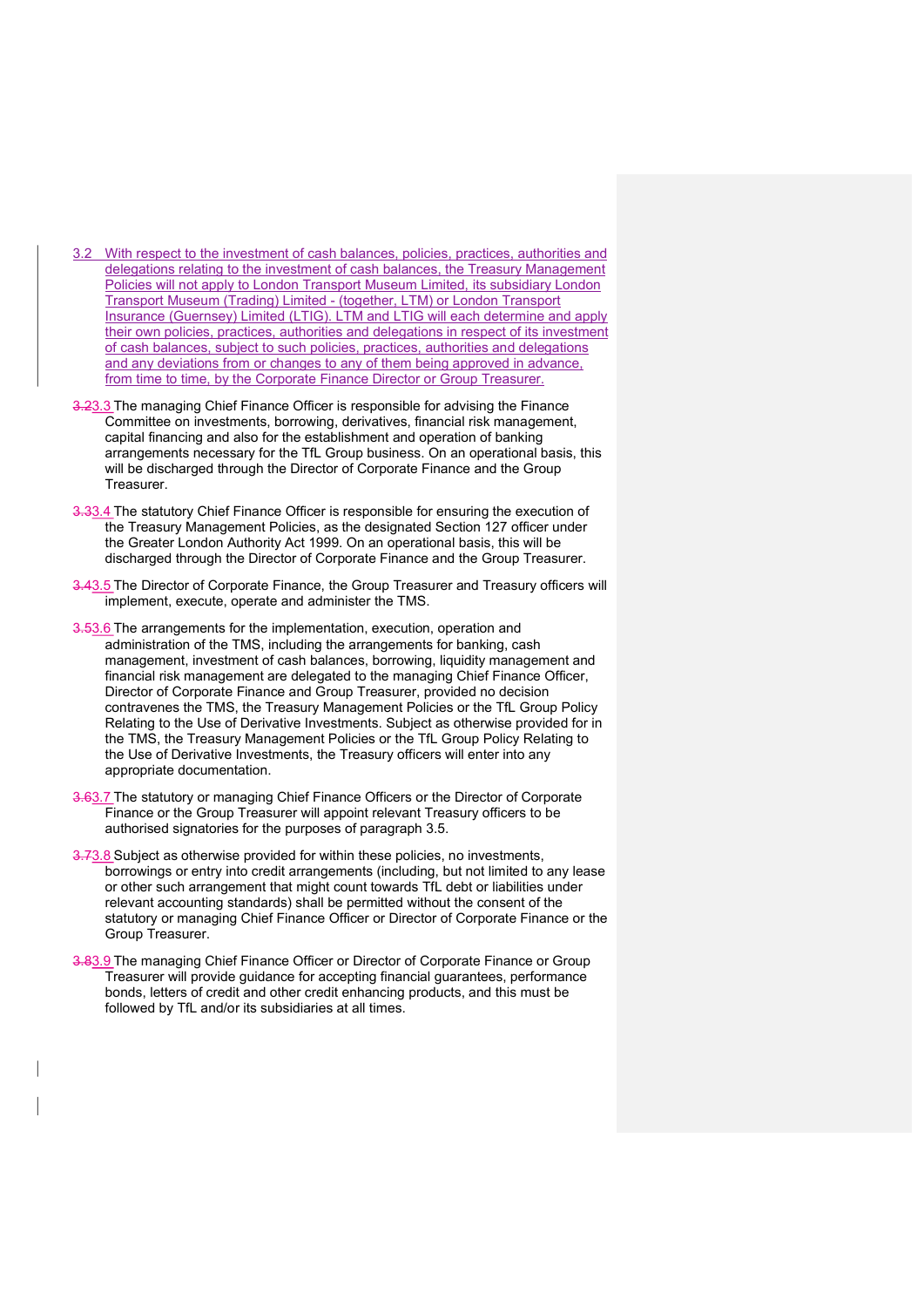- 3.2 With respect to the investment of cash balances, policies, practices, authorities and delegations relating to the investment of cash balances, the Treasury Management Policies will not apply to London Transport Museum Limited, its subsidiary London Transport Museum (Trading) Limited - (together, LTM) or London Transport Insurance (Guernsey) Limited (LTIG). LTM and LTIG will each determine and apply their own policies, practices, authorities and delegations in respect of its investment of cash balances, subject to such policies, practices, authorities and delegations and any deviations from or changes to any of them being approved in advance, from time to time, by the Corporate Finance Director or Group Treasurer.
- 3.23.3 The managing Chief Finance Officer is responsible for advising the Finance Committee on investments, borrowing, derivatives, financial risk management, capital financing and also for the establishment and operation of banking arrangements necessary for the TfL Group business. On an operational basis, this will be discharged through the Director of Corporate Finance and the Group Treasurer.
- 3.33.4 The statutory Chief Finance Officer is responsible for ensuring the execution of the Treasury Management Policies, as the designated Section 127 officer under the Greater London Authority Act 1999. On an operational basis, this will be discharged through the Director of Corporate Finance and the Group Treasurer.
- 3.43.5 The Director of Corporate Finance, the Group Treasurer and Treasury officers will implement, execute, operate and administer the TMS.
- 3.53.6 The arrangements for the implementation, execution, operation and administration of the TMS, including the arrangements for banking, cash management, investment of cash balances, borrowing, liquidity management and financial risk management are delegated to the managing Chief Finance Officer, Director of Corporate Finance and Group Treasurer, provided no decision contravenes the TMS, the Treasury Management Policies or the TfL Group Policy Relating to the Use of Derivative Investments. Subject as otherwise provided for in the TMS, the Treasury Management Policies or the TfL Group Policy Relating to the Use of Derivative Investments, the Treasury officers will enter into any appropriate documentation.
- 3.63.7 The statutory or managing Chief Finance Officers or the Director of Corporate Finance or the Group Treasurer will appoint relevant Treasury officers to be authorised signatories for the purposes of paragraph 3.5.
- 3.73.8 Subject as otherwise provided for within these policies, no investments, borrowings or entry into credit arrangements (including, but not limited to any lease or other such arrangement that might count towards TfL debt or liabilities under relevant accounting standards) shall be permitted without the consent of the statutory or managing Chief Finance Officer or Director of Corporate Finance or the Group Treasurer.
- 3.83.9 The managing Chief Finance Officer or Director of Corporate Finance or Group Treasurer will provide guidance for accepting financial guarantees, performance bonds, letters of credit and other credit enhancing products, and this must be followed by TfL and/or its subsidiaries at all times.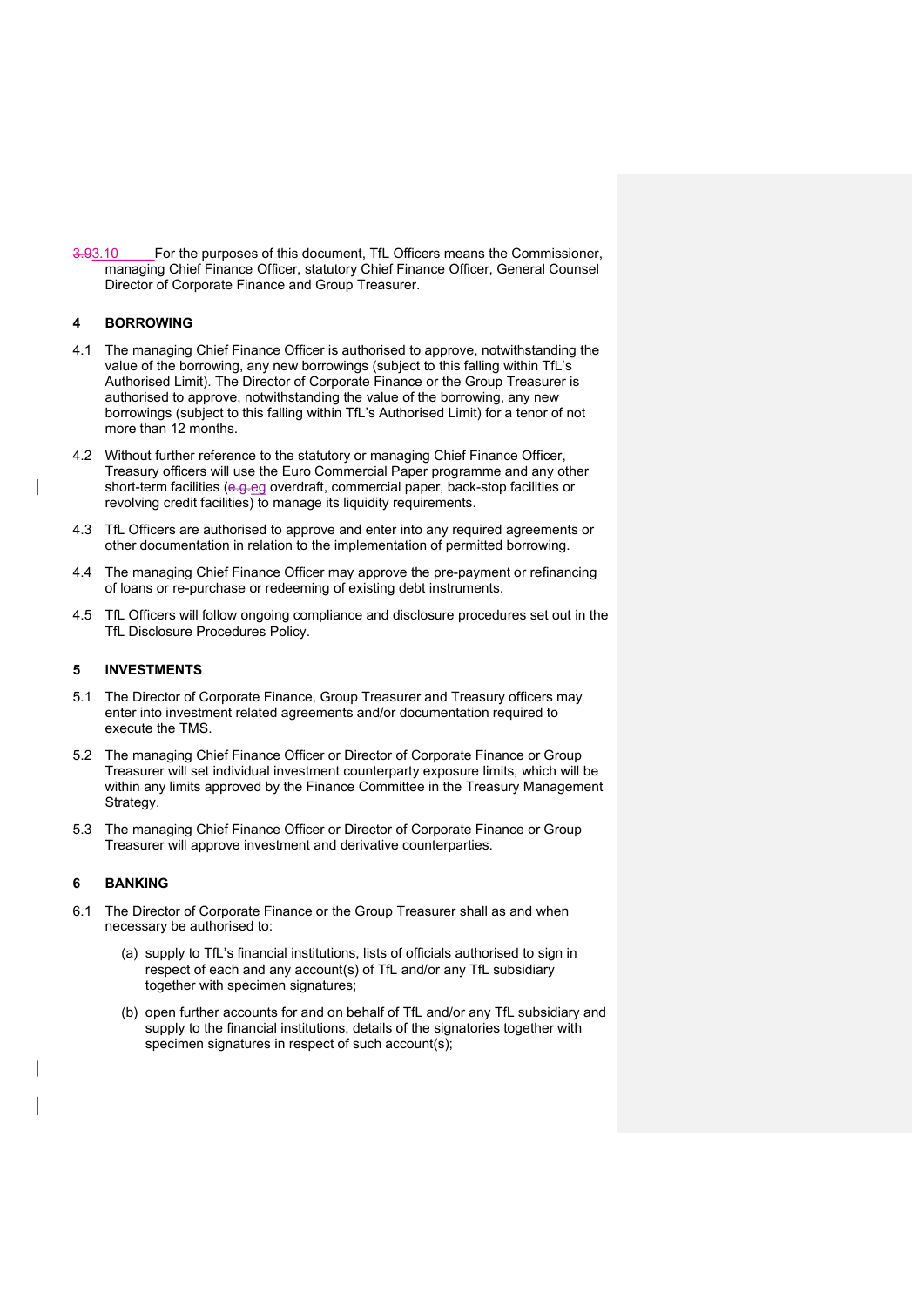3.93.10 For the purposes of this document, TfL Officers means the Commissioner, managing Chief Finance Officer, statutory Chief Finance Officer, General Counsel Director of Corporate Finance and Group Treasurer.

## 4 BORROWING

- 4.1 The managing Chief Finance Officer is authorised to approve, notwithstanding the value of the borrowing, any new borrowings (subject to this falling within TfL's Authorised Limit). The Director of Corporate Finance or the Group Treasurer is authorised to approve, notwithstanding the value of the borrowing, any new borrowings (subject to this falling within TfL's Authorised Limit) for a tenor of not more than 12 months.
- 4.2 Without further reference to the statutory or managing Chief Finance Officer, Treasury officers will use the Euro Commercial Paper programme and any other short-term facilities (e.g.eg overdraft, commercial paper, back-stop facilities or revolving credit facilities) to manage its liquidity requirements.
- 4.3 TfL Officers are authorised to approve and enter into any required agreements or other documentation in relation to the implementation of permitted borrowing.
- 4.4 The managing Chief Finance Officer may approve the pre-payment or refinancing of loans or re-purchase or redeeming of existing debt instruments.
- 4.5 TfL Officers will follow ongoing compliance and disclosure procedures set out in the TfL Disclosure Procedures Policy.

## 5 INVESTMENTS

- 5.1 The Director of Corporate Finance, Group Treasurer and Treasury officers may enter into investment related agreements and/or documentation required to execute the TMS.
- 5.2 The managing Chief Finance Officer or Director of Corporate Finance or Group Treasurer will set individual investment counterparty exposure limits, which will be within any limits approved by the Finance Committee in the Treasury Management Strategy.
- 5.3 The managing Chief Finance Officer or Director of Corporate Finance or Group Treasurer will approve investment and derivative counterparties.

## 6 BANKING

- 6.1 The Director of Corporate Finance or the Group Treasurer shall as and when necessary be authorised to:
	- (a) supply to TfL's financial institutions, lists of officials authorised to sign in respect of each and any account(s) of TfL and/or any TfL subsidiary together with specimen signatures;
	- (b) open further accounts for and on behalf of TfL and/or any TfL subsidiary and supply to the financial institutions, details of the signatories together with specimen signatures in respect of such account(s);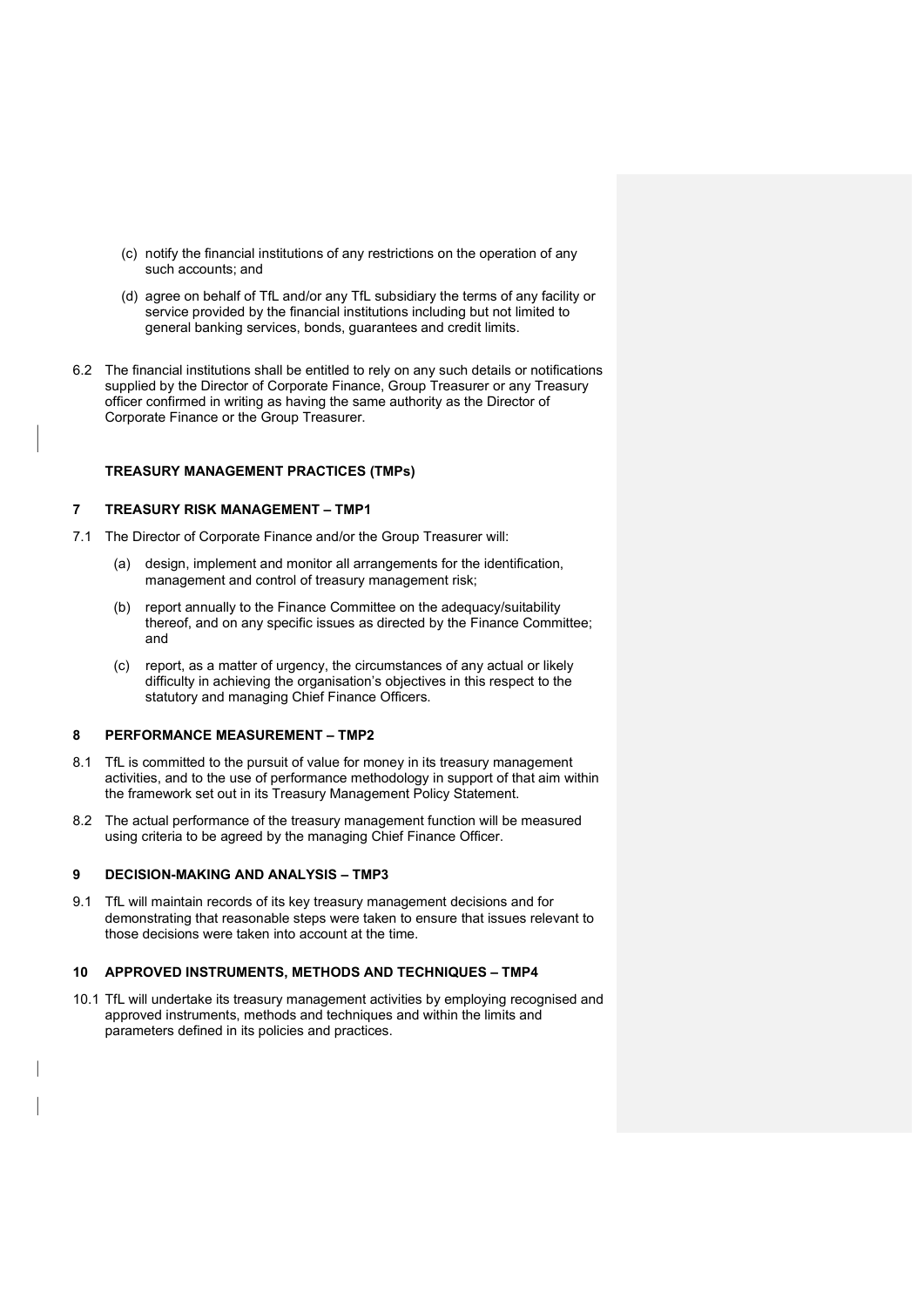- (c) notify the financial institutions of any restrictions on the operation of any such accounts; and
- (d) agree on behalf of TfL and/or any TfL subsidiary the terms of any facility or service provided by the financial institutions including but not limited to general banking services, bonds, guarantees and credit limits.
- 6.2 The financial institutions shall be entitled to rely on any such details or notifications supplied by the Director of Corporate Finance, Group Treasurer or any Treasury officer confirmed in writing as having the same authority as the Director of Corporate Finance or the Group Treasurer.

## TREASURY MANAGEMENT PRACTICES (TMPs)

#### 7 TREASURY RISK MANAGEMENT – TMP1

- 7.1 The Director of Corporate Finance and/or the Group Treasurer will:
	- (a) design, implement and monitor all arrangements for the identification, management and control of treasury management risk;
	- (b) report annually to the Finance Committee on the adequacy/suitability thereof, and on any specific issues as directed by the Finance Committee; and
	- (c) report, as a matter of urgency, the circumstances of any actual or likely difficulty in achieving the organisation's objectives in this respect to the statutory and managing Chief Finance Officers.

## 8 PERFORMANCE MEASUREMENT – TMP2

- 8.1 TfL is committed to the pursuit of value for money in its treasury management activities, and to the use of performance methodology in support of that aim within the framework set out in its Treasury Management Policy Statement.
- 8.2 The actual performance of the treasury management function will be measured using criteria to be agreed by the managing Chief Finance Officer.

#### 9 DECISION-MAKING AND ANALYSIS – TMP3

9.1 TfL will maintain records of its key treasury management decisions and for demonstrating that reasonable steps were taken to ensure that issues relevant to those decisions were taken into account at the time.

## 10 APPROVED INSTRUMENTS, METHODS AND TECHNIQUES – TMP4

10.1 TfL will undertake its treasury management activities by employing recognised and approved instruments, methods and techniques and within the limits and parameters defined in its policies and practices.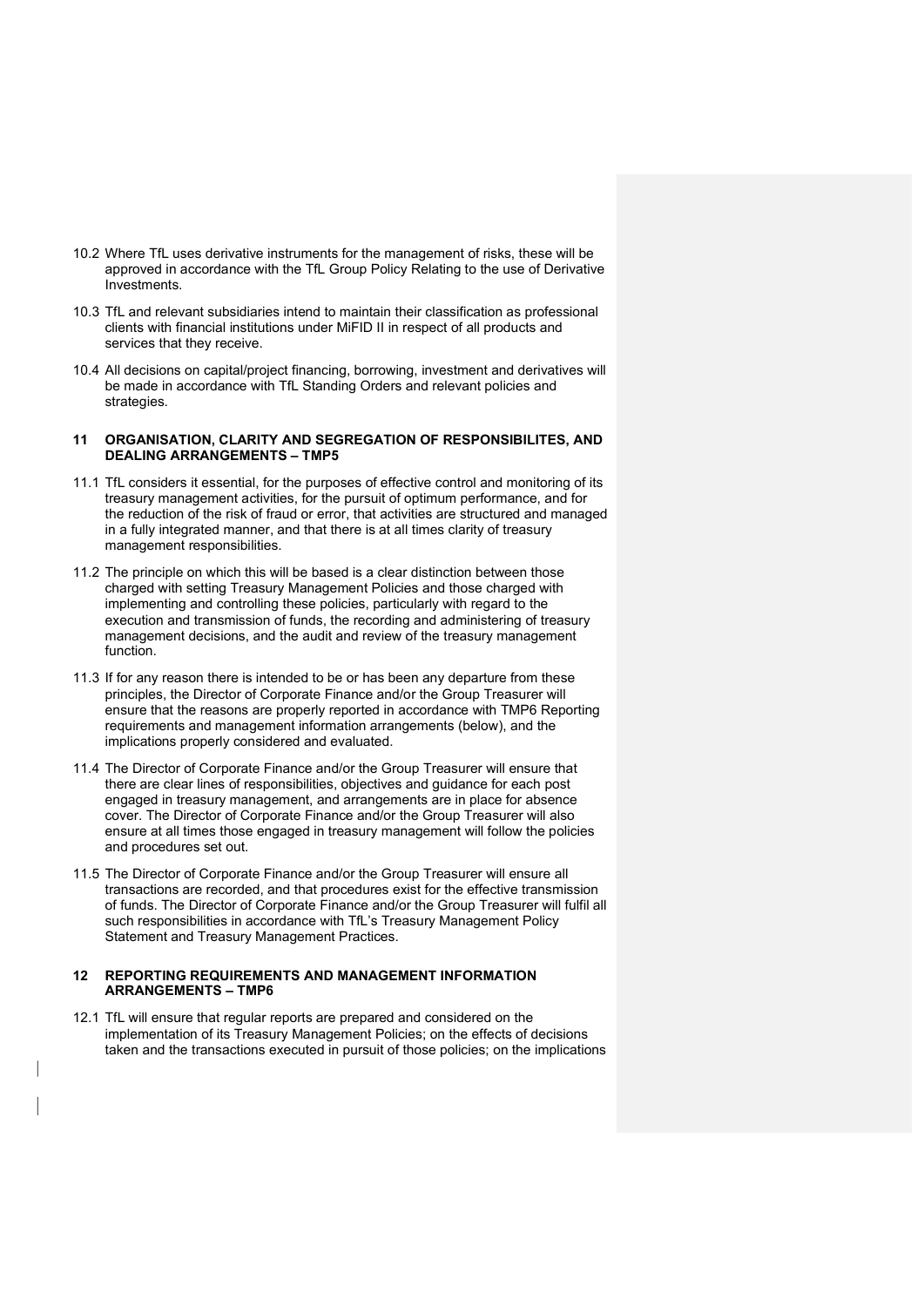- 10.2 Where TfL uses derivative instruments for the management of risks, these will be approved in accordance with the TfL Group Policy Relating to the use of Derivative Investments.
- 10.3 TfL and relevant subsidiaries intend to maintain their classification as professional clients with financial institutions under MiFID II in respect of all products and services that they receive.
- 10.4 All decisions on capital/project financing, borrowing, investment and derivatives will be made in accordance with TfL Standing Orders and relevant policies and strategies.

### 11 ORGANISATION, CLARITY AND SEGREGATION OF RESPONSIBILITES, AND DEALING ARRANGEMENTS – TMP5

- 11.1 TfL considers it essential, for the purposes of effective control and monitoring of its treasury management activities, for the pursuit of optimum performance, and for the reduction of the risk of fraud or error, that activities are structured and managed in a fully integrated manner, and that there is at all times clarity of treasury management responsibilities.
- 11.2 The principle on which this will be based is a clear distinction between those charged with setting Treasury Management Policies and those charged with implementing and controlling these policies, particularly with regard to the execution and transmission of funds, the recording and administering of treasury management decisions, and the audit and review of the treasury management function.
- 11.3 If for any reason there is intended to be or has been any departure from these principles, the Director of Corporate Finance and/or the Group Treasurer will ensure that the reasons are properly reported in accordance with TMP6 Reporting requirements and management information arrangements (below), and the implications properly considered and evaluated.
- 11.4 The Director of Corporate Finance and/or the Group Treasurer will ensure that there are clear lines of responsibilities, objectives and guidance for each post engaged in treasury management, and arrangements are in place for absence cover. The Director of Corporate Finance and/or the Group Treasurer will also ensure at all times those engaged in treasury management will follow the policies and procedures set out.
- 11.5 The Director of Corporate Finance and/or the Group Treasurer will ensure all transactions are recorded, and that procedures exist for the effective transmission of funds. The Director of Corporate Finance and/or the Group Treasurer will fulfil all such responsibilities in accordance with TfL's Treasury Management Policy Statement and Treasury Management Practices.

## 12 REPORTING REQUIREMENTS AND MANAGEMENT INFORMATION ARRANGEMENTS – TMP6

12.1 TfL will ensure that regular reports are prepared and considered on the implementation of its Treasury Management Policies; on the effects of decisions taken and the transactions executed in pursuit of those policies; on the implications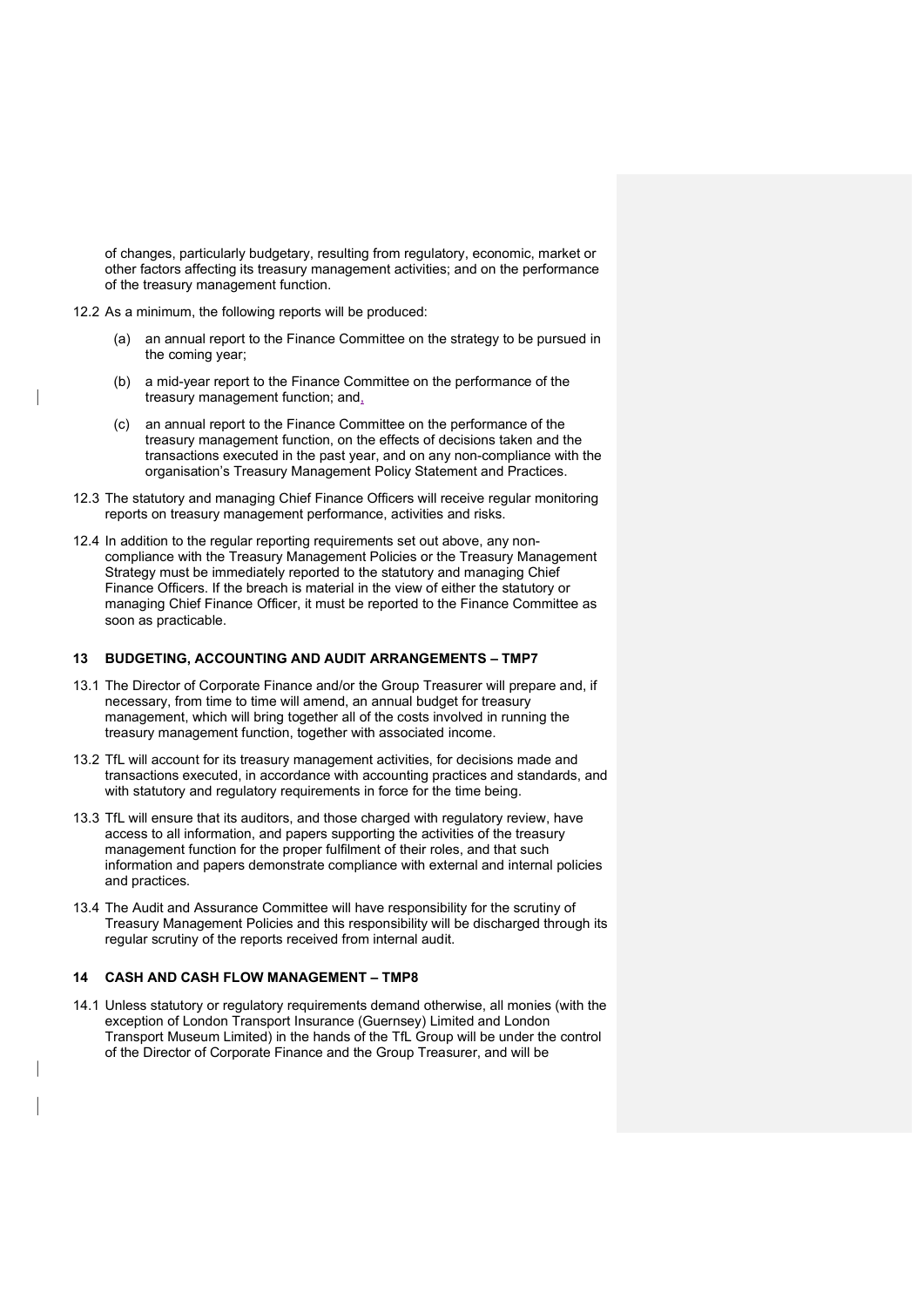of changes, particularly budgetary, resulting from regulatory, economic, market or other factors affecting its treasury management activities; and on the performance of the treasury management function.

- 12.2 As a minimum, the following reports will be produced:
	- (a) an annual report to the Finance Committee on the strategy to be pursued in the coming year;
	- (b) a mid-year report to the Finance Committee on the performance of the treasury management function; and,
	- (c) an annual report to the Finance Committee on the performance of the treasury management function, on the effects of decisions taken and the transactions executed in the past year, and on any non-compliance with the organisation's Treasury Management Policy Statement and Practices.
- 12.3 The statutory and managing Chief Finance Officers will receive regular monitoring reports on treasury management performance, activities and risks.
- 12.4 In addition to the regular reporting requirements set out above, any noncompliance with the Treasury Management Policies or the Treasury Management Strategy must be immediately reported to the statutory and managing Chief Finance Officers. If the breach is material in the view of either the statutory or managing Chief Finance Officer, it must be reported to the Finance Committee as soon as practicable.

## 13 BUDGETING, ACCOUNTING AND AUDIT ARRANGEMENTS – TMP7

- 13.1 The Director of Corporate Finance and/or the Group Treasurer will prepare and, if necessary, from time to time will amend, an annual budget for treasury management, which will bring together all of the costs involved in running the treasury management function, together with associated income.
- 13.2 TfL will account for its treasury management activities, for decisions made and transactions executed, in accordance with accounting practices and standards, and with statutory and regulatory requirements in force for the time being.
- 13.3 TfL will ensure that its auditors, and those charged with regulatory review, have access to all information, and papers supporting the activities of the treasury management function for the proper fulfilment of their roles, and that such information and papers demonstrate compliance with external and internal policies and practices.
- 13.4 The Audit and Assurance Committee will have responsibility for the scrutiny of Treasury Management Policies and this responsibility will be discharged through its regular scrutiny of the reports received from internal audit.

## 14 CASH AND CASH FLOW MANAGEMENT – TMP8

14.1 Unless statutory or regulatory requirements demand otherwise, all monies (with the exception of London Transport Insurance (Guernsey) Limited and London Transport Museum Limited) in the hands of the TfL Group will be under the control of the Director of Corporate Finance and the Group Treasurer, and will be